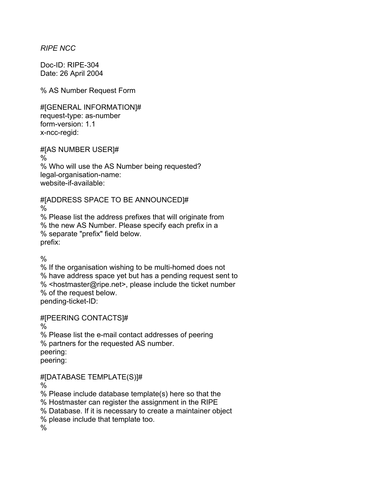*RIPE NCC* 

Doc-ID: RIPE-304 Date: 26 April 2004

% AS Number Request Form

#[GENERAL INFORMATION]# request-type: as-number form-version: 1.1 x-ncc-regid:

#[AS NUMBER USER]# % % Who will use the AS Number being requested? legal-organisation-name: website-if-available:

#[ADDRESS SPACE TO BE ANNOUNCED]#

 $\frac{0}{0}$ 

% Please list the address prefixes that will originate from % the new AS Number. Please specify each prefix in a % separate "prefix" field below. prefix:

%

% If the organisation wishing to be multi-homed does not % have address space yet but has a pending request sent to % <hostmaster@ripe.net>, please include the ticket number % of the request below. pending-ticket-ID:

#[PEERING CONTACTS]#

%

% Please list the e-mail contact addresses of peering % partners for the requested AS number. peering: peering:

#[DATABASE TEMPLATE(S)]#

%

% Please include database template(s) here so that the

% Hostmaster can register the assignment in the RIPE

% Database. If it is necessary to create a maintainer object

% please include that template too.

 $\frac{0}{0}$